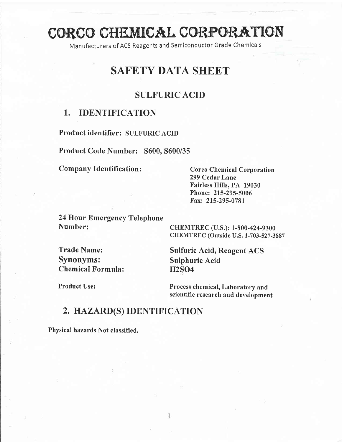# CORCO CHEMICAL CORPORATION

Manufacturers of ACS Reagents and Semlconductor Grade Chemlcals

## SAFETY DATA SHEET

## SULFURIC ACID

## I. IDENTIFICATION

Product identifier: SULFURIC ACID

Product Code Number: 5600. 5600/35

Company Identification: Corco Chemical Corporation

299 Cedar Lane Fairless Hills, PA 19030 Phone: 215-295-5006 Fax: 215-295-0781

24 Hour Emergency Telephone Number: CHEMTREC (U.S.): 1-800-424-9300

CHEMTREC (Outside U.S. 1-703-527-3887

Synonyms: Sulphuric Acid Chemical Formula: H2SO4

Trade Name: Sulfuric Acid, Reagent ACS

Product Use: Process chemical, Laboratory and scientific research and development

## 2, HAZARD(S) IDENTIFICATION

Physical hazards Not classified.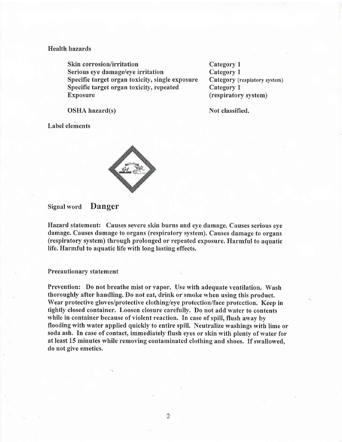#### Health hazards

Skin corrosion/irritation Serious eye damage/eye irritation Specific target organ toxicity, single exposure Specific target organ toxicity, repeated Exposure

Category I Category <sup>L</sup> Category (respiatory system) Category <sup>1</sup> (respiratory system)

OSHA hazard(s)

Not classified.

Label elements



#### Signal word Danger

Hazard statement: Causes severe skin burns and eye damage. Causes serious eye damage. Causes damage to organs (respiratory system). Causes damage to organs (respiratory system) through prolonged or repeated exposure. Harmful to aquatic life. Harmfill to aquatic life with long lasting effects.

#### Precautionary statement

Prevention: Do not breathe mist or vapor. Use with adequate ventilation. Wash thoroughly after handling. Do not eat, drink or smoke when using this product. Wear protective gloves/protective clothing/eye protection/face protection. Keep in tightly closed container. Loosen closure carefully. Do not add water to contents while in container because of violent reaction. In case of spill, flush away by flooding with water applied quickly to entire spill. Neutralize washings with lime or soda ash. fn case of contact, immediately flush eyes or skin with plenty of water for at least 15 minutes while removing contaminated clothing and shoes. If swallowed, do not give emetics.

 $\overline{2}$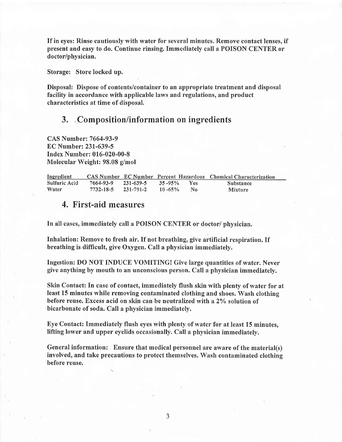If in eyes: Rinse cautiously with water for several minutes, Remove contact lenses, if present and easy to do. Continue rinsing.Imrnediately call a POISON CENTER or doctor/physician.

Storage: Store locked up.

Disposal: Dispose of contents/container to an appropriate treatment and disposal facility in accordance with applicable laws and regulations, and product characteristics at time of disposal.

#### 3. .Composition/information on ingredients

CAS Number: 7664-93-9  $EC$  Number: 231-639-5 Index Number: 016-020-00-8 Molecular Weight: 98.08 g/mol

| Ingredient    |           |           |              |            | <b>CAS Number EC Number Percent Hazardous Chemical Characterization</b> |
|---------------|-----------|-----------|--------------|------------|-------------------------------------------------------------------------|
| Sulfuric Acid | 7664-93-9 | 231-639-5 | $35 - 95\%$  | <b>Yes</b> | <b>Substance</b>                                                        |
| Water         | 7732-18-5 | 231-791-2 | $-10 - 65\%$ | No.        | <b>Mixture</b>                                                          |

## 4, First-aid measures

In all cases, immediately call a POISON CENTER or doctor/ physician.

Inhalation: Remove to fresh air. If not breathing, give artificial respiration. If breathing is difficult, give Oxygen. Call a physician immediately.

Ingestion: DO NOT INDUCE VOMITING! Give large quantities of water. Never give anything by mouth to an unconscious person. Call a physician immediately.

Skin Contact: In case of contact, immediately flush skin with plenty of water for at least 15 minutes while removing contaminated clothing and shoes. Wash clothing before reuse. Excess acid on skin can be neutralized with a 2% solution of bicarbonate of soda. Call a physician immediately.

Eye Contact: Immediately flush eyes with plenty of water for at least 15 minutes, lifting lower and upper eyelids occasionally. Call a physician immediately.

General information: Ensure that medical personnel are aware of the material(s) involved, and take precautions to protect themselves. Wash contaminated clothing before reuse.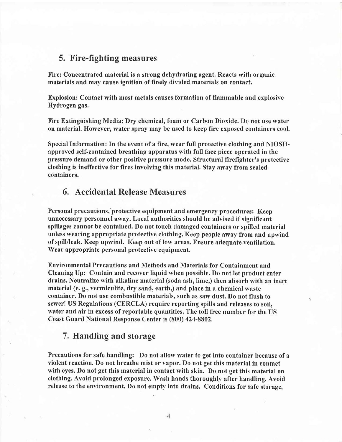#### 5. Fire-fighting measures

Fire: Concentrated material is a strong dehydrating agent. Reacts with organic materials and may cause ignition of finely divided materials on contact.

Explosion: Contact with most metals causes formation of flammable and explosive Hydrogen gas.

Fire Extinguishing Media: Dry chemical, foam or Carbon Dioxide. Do not use water on material. However, water spray may be used to keep fire exposed containers cool.

Special Information: In the event of a fire, wear full protective clothing and NIOSHapproved self-contained breathing apparatus with full face piece operated in the pressure demand or other positive pressure mode. Structural firefighter's protective clothing is ineffective for fires involving this material. Stay away from sealed containers.

## 6. Accidental Release Measures

Personal precautions, protective equipment and emergency procedures: Keep unnecessary personnel away. Local authorities should be advised if significant spillages cannot be contained. Do not touch damaged containers or spilled material unless wearing appropriate protective clothing. Keep people away from and upwind of spilUleak. Keep upwind. Keep out of low areas. Ensure adequate ventilation. Wear appropriate personal protective equipment.

Environmental Precautions and Methods and Materials for Containment and Cleaning Up: Contain and recover liquid when possible. Do not let product enter drains. Neutralize with alkaline material (soda ash, lime,) then absorb with an inert material (e. g., vermiculite, dry sand, earth,) and place in a chemical waste container. Do not use combustible materials, such as saw dust. Do not flush to sewer! US Regulations (CERCLA) require reporting spills and releases to soil, water and air in excess of reportable quantities. The toll free number for the US Coast Guard National Response Center is (800) 424-8802.

#### 7. Handling and storage

Precautions for safe handling: Do not allow water to get into container because of <sup>a</sup> violent reaction. Do not breathe mist or vapor. Do not get this material in contact with eyes. Do not get this material in contact with skin. Do not get this material on clothing" Avoid prolonged exposure. Wash hands thoroughly after handling. Avoid release to the environment. Do not empty into drains. Conditions for safe storage,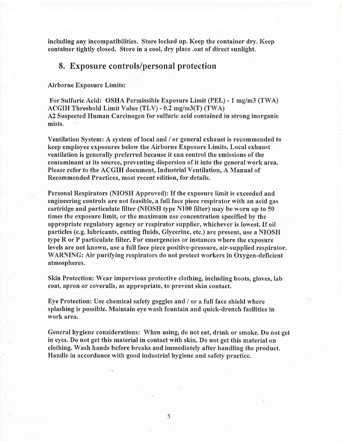including any incompatibilities. Store locked up. Keep the container dry. Keep container tightly closed. Store in a cool, dry place .out of direct sunlight.

#### 8. Exposure controls/personal protection

Airborne Exposure Limits:

For Sulfuric Acid: OSHA Permissible Exposure Limit (PEL) - 1 mg/m3 (TWA)  $ACGIH$  Threshold Limit Value (TLV) - 0.2 mg/m3(T) (TWA) A2 Suspected Human Carcinogen for sulfuric acid contained in strong inorganic mists.

Ventilation System: A system of local and / or general exhaust is recommended to keep employee exposures below the Airborne Exposure Limits. Local exhaust' ventilation is generally preferred because it can control the emissions of the contaminant at its source, preventing dispersion of it into the general work area. Please refer to the ACGIH document, Industrial Ventilation, A Manual of Recommended Practices, most recent edition, for details.

Personal Respirators (NIOSH Approved): If the exposure limit is exceeded and engineering controls are not feasible, a full face piece respirator with an acid gas cartridge and particulate filter (NIOSH type N100 filter) may be worn up to 50 times the exposure limit, or the maximum use concentration specified by the appropriate regulatory agency or respirator supplier, whichever is lowest. If oil particles (e.g. lubricants, cutting fluids, Glycerine, etc.) are present, use a NIOSH type R or P particulate filter. For emergencies or instances where the exposure levels are not known, use a full face piece positive-pressure, air-supplied respirator. WARNING: Air purifying respirators do not protect workers in Oxygen-deficient atmospheres.

Skin Protection: Wear impervious protective clothing, including boots, gloves, lab coat, apron or coveralls, as appropriate, to prevent skin contact.

Eye Protection: Use chemical safefy goggles and / or a full face shield where splashing is possible. Maintain eye wash fountain and quick-drench facilities in work area.

General hygiene considerations: When using, do not eat, drink or smoke. Do not get in eyes. Do not get this material in contact with skin. Do not get this material on clothing. Wash hands before breaks and immediately after handling the product. Handle in accordance with good industrial hygiene and safety practice.

5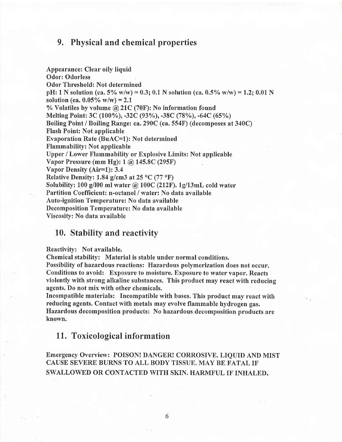## 9. Physical and chemical properties

Appearance: Clear oily liquid Odor: Odorless Odor Threshold: Not determined pH: 1 N solution (ca. 5% w/w) = 0.3; 0.1 N solution (ca. 0.5% w/w) = 1.2; 0.01 N solution (ca.  $0.05\%$  w/w) = 2.1 % Volatiles by volume @2lC (70F): No information found Melting Point: 3C (100%), -32C (93%), -38C (78%), -64C (65%) Boiling Point / Boiling Range: ca.290C (ca. 554F) (decomposes at 340C) Flash Point: Not applicable Evaporation Rate (BuAC=1): Not determined Flammability: Not applicable Upper / Lower Flammability or Explosive Limits: Not applicable Vapor Pressure (mm Hg): | @ 145.8C (295F) Vapor Density (Air=1): 3.4 Relative Density: 1.84 g/cm3 at 25  $\rm{^{\circ}C}$  (77  $\rm{^{\circ}F})$ Solubility: 100 g/100 ml water  $\omega$  100C (212F), 1g/13mL cold water Partition Coefficient: n-octanol / water: No data available Auto-ignition Temperature: No data available Decomposition Temperature: No data available Viscosify: No data available

#### 10. Stability and reactivity

Reactivity: Not available.

Chemical stabilify: Material is stable under normal conditions.

Possibility of hazardous reactions: Hazardous polymerization does not occur. Conditions to avoid: Exposure to moisture. Exposure to water vapor. Reacts violently with strong alkaline substances. This product may react with reducing agents. Do not mix with other chemicals.

Incompatible materials: Incompatible with bases. This product may react with reducing agents. Contact with metals may evolve flammable hydrogen gas. Hazardous decomposition products: No hazardous decomposition products are known.

#### 11. Toxicological information

Emergency Overview: POISON! DANGER! CORROSIVE. LIQUID AND MIST CAUSE SEVERE BURNS TO ALL BODY TISSUE. MAY BE FATAL IF SWALLOWED OR CONTACTED WITH SKIN. HARMFUL IF INHALED.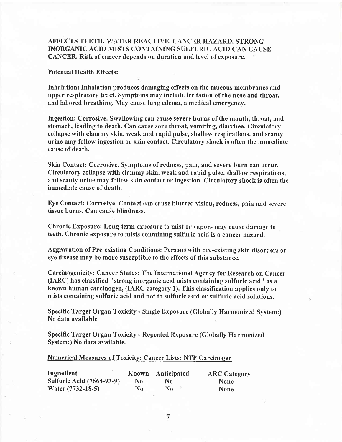#### AFFECTS TEETH. WATER REACTIVE. CANCER HAZARD. STRONG INORGANIC ACID MISTS CONTAINING SULF'URIC ACID CAN CAUSE CANCER. Risk of cancer depends on duration and level of exposure.

#### Potential Health Effects :

Inhalation: Inhalation produces damaging effects on the mucous membranes and upper respiratory tract. Symptoms may include irritation of the nose and throat, and labored breathing. May cause lung edema, a medical emergency.

Ingestion: Corrosive. Swallowing can cause severe burns of the mouth, throat, and stomach, leading to death. Can cause sore throat, vomiting, diarrhea. Circulatory collapse with clammy skin, weak and rapid pulse, shallow respirations, and scanty urine may follow ingestion or skin contact. Circulatory shock is often the immediate cause of death.

Skin Contact: Corrosive, Symptoms of redness, pain, and severe burn can occur. Circulatory collapse with clammy skin, weak and rapid pulse, shallow respirations, and scanty urine may follow skin contact or ingestion. Circulatory shock is often the immediate cause of death.

Eye Contact: Corrosive. Contact can cause blurred vision, redness, pain and severe tissue burns. Can cause blindness.

Chronic Exposure: Long-term exposure to mist or vapors may cause damage to teeth. Chronic exposure to mists containing sulfuric acid is a cancer hazard,

Aggravation of Pre-existing Conditions: Persons with pre-existing skin disorders or eye disease may be more susceptible to the effects of this substance.

Carcinogenicity: Cancer Status: The International Agency for Research on Cancer  $(IARC)$  has classified "strong inorganic acid mists containing sulfuric acid" as a known human carcinogen, (IARC category 1). This classification applies only to mists containing sulfuric acid and not to sulfuric acid or sulfuric acid solutions.

Specific Target Organ Toxicity - Single Exposure (Globally Harmonized System:) No data available.

Specific Target Organ Toxicity - Repeated Exposure (Globally Harmonized System:) No data available.

#### Numerical Measures of Toxicity: Cancer Lists: NTP Carcinogen

| Ingredient                       |                | Known Anticipated | <b>ARC Category</b> |
|----------------------------------|----------------|-------------------|---------------------|
| <b>Sulfuric Acid (7664-93-9)</b> | N <sub>0</sub> | N <sub>0</sub>    | <b>None</b>         |
| Water (7732-18-5)                | No             | No.               | <b>None</b>         |

7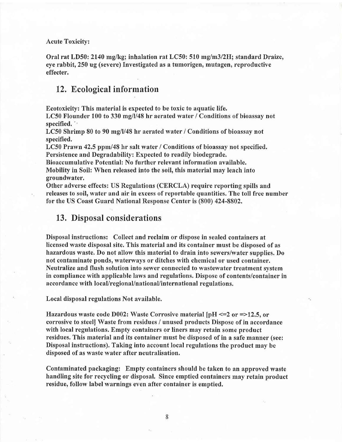Acute Toxicity:

Oral rat LD50: 2140 mg/kg; inhalation rat LC50: 510 mg/m3/2H; standard Draize, eye rabbit, 250 ug (severe) Investigated as a tumorigen, mutagen, reproductive effecter.

## 12, Ecological information

Ecotoxicity: This material is expected to be toxic to aquatic life.

LC50 Flounder 100 to 330 mg/l/48 hr aerated water / Conditions of bioassay not specified. '-

LC50 Shrimp 80 to 90 mg/l/48 hr aerated water / Conditions of bioassay not specified.

LC50 Prawn 42.5 ppm/48 hr salt water / Conditions of bioassay not specified. Persistence and Degradability: Expected to readily biodegrade.

Bioaccumulative Potential: No further relevant information available. Mobility in Soil: When released into the soil, this material may leach into groundwater.

Other adverse effects: US Regulations (CERCLA) require reporting spills and . releases to soil, water and air in excess of reportable quantities. The toll free number for the US Coast Guard National Response Center is (800) 424-8802,

#### 13. Disposal considerations

Disposal instructions: Collect and reclaim or dispose in sealed containers at licensed waste disposal site. This material and its container must be disposed of as hazardous waste, Do not allow this material to drain into sewers/water supplies. Do not contaminate ponds, waterways or ditches with chemical or used container. Neutralize and flush solution into sewer connected to wastewater treatment system in compliance with applicable laws and regulations. Dispose of contents/container in accordance with local/regional/national/international regulations.

Local disposal regulations Not available.

Hazardous waste code D002: Waste Corrosive material  $\text{pH} \leq 2$  or =>12.5, or corrosive to steel] Waste from residues / unused products Dispose of in accordance with local regulations. Empty containers or liners may retain some product residues. This material and its container must be disposed of in a safe manner (see: Disposal instructions). Taking into account local regulations the product may be disposed of as waste water after neutralisation.

Contaminated packaging: Empty containers should be taken to an approved waste handling site for recycling or disposal. Since emptied containers may retain product residue, follow label warnings even after container is emptied.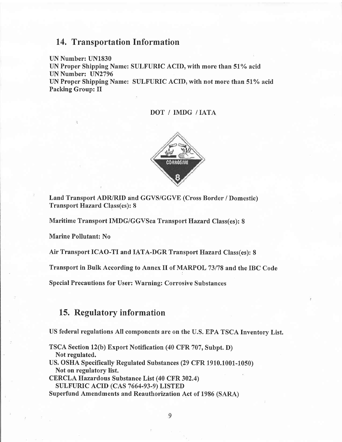## 14, Transportation Information

UN Number: UN1830

UN Proper Shipping Name: SULFURIC ACID, with more than 51% acid UN Number: UN2796

UN Proper Shipping Name: SULFURIC ACID, with not more than 51% acid Packing Group: II

#### DOT / IMDG /IATA



Land Transport ADR/RID and GGVS/GGVE (Cross Border / Domestic) Transport Hazard Class(es): 8

Maritime Transport IMDG/GGVSea Transport Hazard, Class(es): 8

Marine Pollutant: No

Air Transport ICAO-TI and IATA-DGR Transport Hazard Class(es): 8

Transport in Bulk According to Annex II of MARPOL 73/78 and the IBC Code

Special Precautions for User: Warning: Corrosive Substances

## 15. Regulatory information

US federal regulations All components are on the U.S. EPA TSCA Inventory List.

TSCA Section 12(b) Export Notification (40 CFR 707, Subpt. D) Not regulated. US. OSHA Specifically Regulated Substances (29 CFR 1910.1001-1050) Not on regulatory list. CERCLA Hazardous Substance List (40 CFR 302,4) SULFURIC ACID (CAS 7664-93-9) LISTED

Superfund Amendments and Reauthorization Act of 1986 (SARA)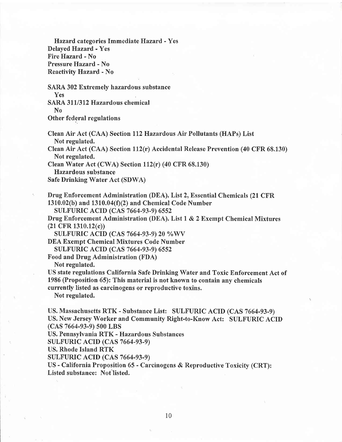Hazard, categories Immediate Hazard - Yes Delayed Hazard - Yes Fire Hazard - No Pressure Hazard - No Reactivity Hazard - No

SARA 302 Extremely hazardous substance Yes

SARA 311/312 Hazardous chemical No

Other federal regulations

Clean Air Act (CAA) Section Il2Hazardous Air Pollutants (HAPs) List Not regulated.

Clean Air Act (CAA) Section 112(r) Accidental Release Prevention (40 CFR  $68.130$ ) Not regulated.

Clean Water Act (CWA) Section  $112(r)$  (40 CFR 68.130)

Hazardous substance

Safe Drinking Water Act (SDWA)

' Drug Enforcement Administration (DEA). List2, Essential Chemicals (21 CFR  $1310.02(b)$  and  $1310.04(f)(2)$  and Chemical Code Number

SULFURIC ACID (CAS 7664-93-9) 6552

Drug Enforcement Administration (DEA). List 1 & 2 Exempt Chemical Mixtures (21 CFR 1310.12(c))

SULFURIC ACID (CAS 7664-93-9) 20 %WV

DEA Exempt Chemical Mixtures Code Number SULFURIC ACID (CAS 7664-93-9) 6552

Food and Drug Administration (FDA)

Not regulated.

US state regulations California Safe Drinking Water and Toxic Enforcement Act of 1986 (Proposition 65): This material is not known to contain any chemicals

currently listed as carcinogens or reproductive toxins.

Not regulated.

US. Massachusetts RTK - Substance List: SULFURIC ACID (CAS 7664-93-9) US. New Jersey Worker and Community Right-to-Know Act: SULFURIC ACID (cAs 7664-93-9) s00 LBS

US. Pennsylvania RTK - Hazardous Substances

SULFURIC ACID (CAS 7664-93-9)

US. Rhode Island RTK

**SULFURIC ACID (CAS 7664-93-9)** 

US - California Proposition 65 - Carcinogens & Reproductive Toxicity (CRT); Listed substance: Not listed.